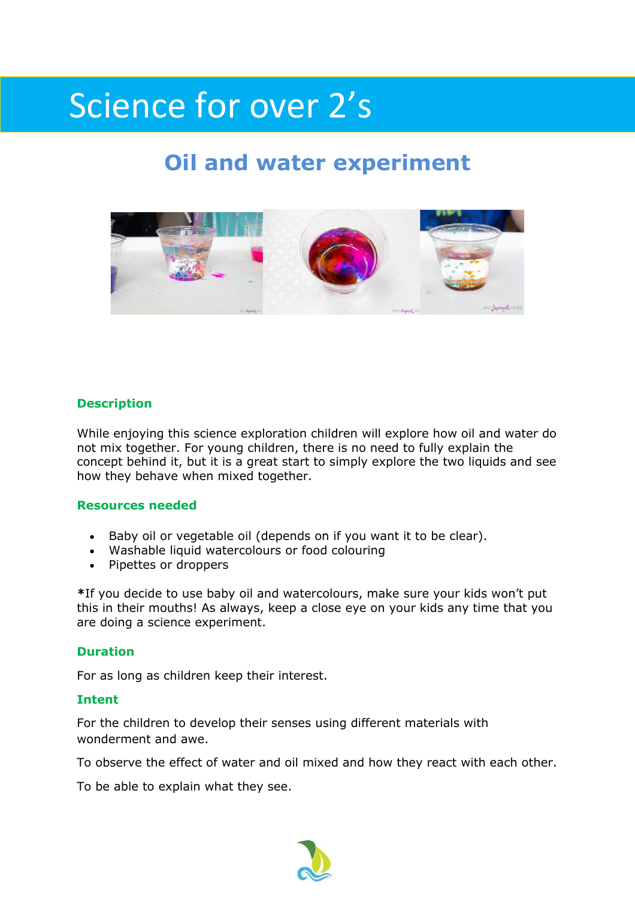# Science for over 2's

# **Oil and water experiment**



### **Description**

While enjoying this science exploration children will explore how oil and water do not mix together. For young children, there is no need to fully explain the concept behind it, but it is a great start to simply explore the two liquids and see how they behave when mixed together.

#### **Resources needed**

- Baby oil or vegetable oil (depends on if you want it to be clear).
- [Washable liquid watercolours](https://www.amazon.com/Sargent-Art-22-6210-10-Count-Watercolor/dp/B005V9W9RM/ref=as_li_ss_tl?ie=UTF8&qid=1498536234&sr=8-3&keywords=liquid+watercolor&linkCode=ll1&tag=mominslif-20&linkId=6efc6f6e2eed2c4148b445921fc0a1df) or [food colouring](https://www.amazon.com/Wilton-601-5581-Piece-Primary-Color/dp/B01EOK9L5G/ref=as_li_ss_tl?ie=UTF8&qid=1498536277&sr=8-6&keywords=food+coloring&linkCode=ll1&tag=mominslif-20&linkId=9870d9bca063cecff1f2f2563c5d097d)
- [Pipettes](https://www.amazon.com/Transfer-Pipette-Graduated-Karter-Scientific/dp/B005Z4QVZ4/ref=as_li_ss_tl?ie=UTF8&qid=1498536341&sr=8-4&keywords=pipettes&linkCode=ll1&tag=mominslif-20&linkId=0923244873b614a49bc4c15948823088) or [droppers](https://www.amazon.com/Learning-Resources-LER2044-Eye-Droppers/dp/B004QEYF6Q/ref=as_li_ss_tl?ie=UTF8&qid=1498536458&sr=8-4&keywords=droppers&linkCode=ll1&tag=mominslif-20&linkId=3ba7e49d1abfa64dde35d82de00377d9)

**\***If you decide to use baby oil and watercolours, make sure your kids won't put this in their mouths! As always, keep a close eye on your kids any time that you are doing a science experiment.

#### **Duration**

For as long as children keep their interest.

#### **Intent**

For the children to develop their senses using different materials with wonderment and awe.

To observe the effect of water and oil mixed and how they react with each other.

To be able to explain what they see.

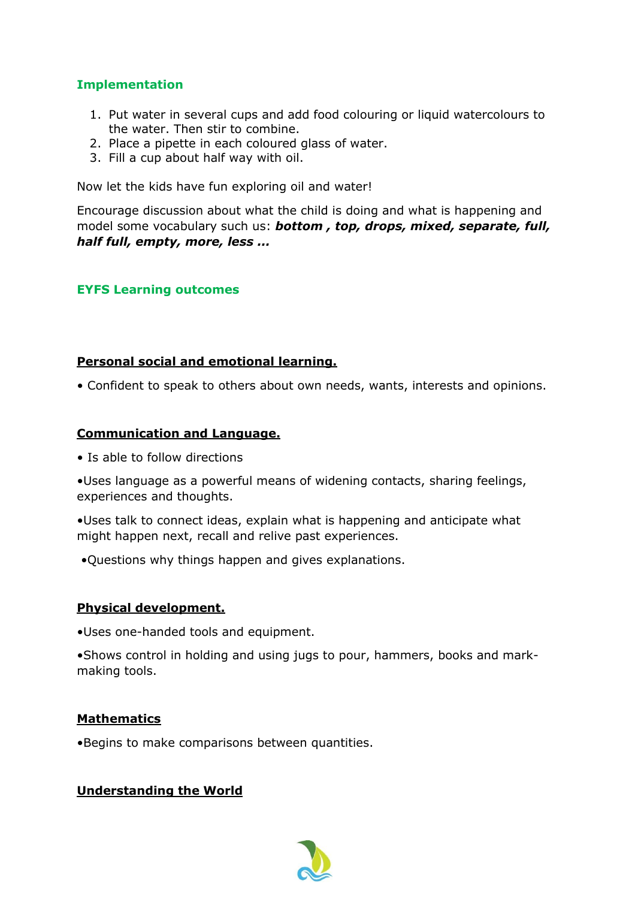# **Implementation**

- 1. Put water in several cups and add food colouring or liquid watercolours to the water. Then stir to combine.
- 2. Place a pipette in each coloured glass of water.
- 3. Fill a cup about half way with oil.

Now let the kids have fun exploring oil and water!

Encourage discussion about what the child is doing and what is happening and model some vocabulary such us: *bottom , top, drops, mixed, separate, full, half full, empty, more, less ...* 

## **EYFS Learning outcomes**

### **Personal social and emotional learning.**

• Confident to speak to others about own needs, wants, interests and opinions.

### **Communication and Language.**

• Is able to follow directions

•Uses language as a powerful means of widening contacts, sharing feelings, experiences and thoughts.

•Uses talk to connect ideas, explain what is happening and anticipate what might happen next, recall and relive past experiences.

•Questions why things happen and gives explanations.

### **Physical development.**

•Uses one-handed tools and equipment.

•Shows control in holding and using jugs to pour, hammers, books and markmaking tools.

### **Mathematics**

•Begins to make comparisons between quantities.

### **Understanding the World**